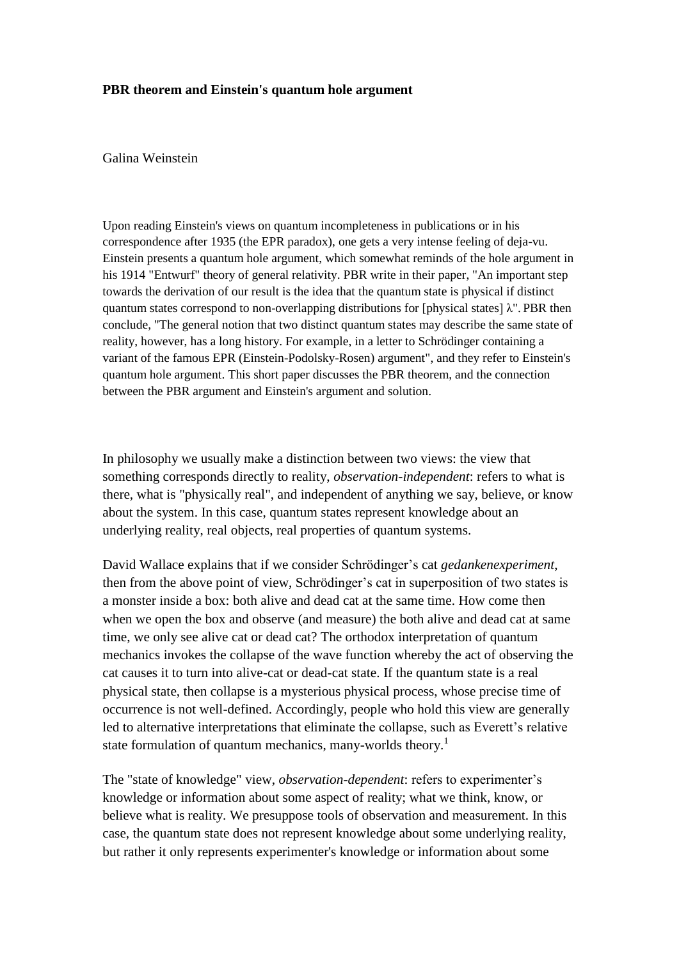## **PBR theorem and Einstein's quantum hole argument**

## Galina Weinstein

Upon reading Einstein's views on quantum incompleteness in publications or in his correspondence after 1935 (the EPR paradox), one gets a very intense feeling of deja-vu. Einstein presents a quantum hole argument, which somewhat reminds of the hole argument in his 1914 "Entwurf" theory of general relativity. PBR write in their paper, "An important step towards the derivation of our result is the idea that the quantum state is physical if distinct quantum states correspond to non-overlapping distributions for [physical states]  $\lambda$ ". PBR then conclude, "The general notion that two distinct quantum states may describe the same state of reality, however, has a long history. For example, in a letter to Schrödinger containing a variant of the famous EPR (Einstein-Podolsky-Rosen) argument", and they refer to Einstein's quantum hole argument. This short paper discusses the PBR theorem, and the connection between the PBR argument and Einstein's argument and solution.

In philosophy we usually make a distinction between two views: the view that something corresponds directly to reality, *observation-independent*: refers to what is there, what is "physically real", and independent of anything we say, believe, or know about the system. In this case, quantum states represent knowledge about an underlying reality, real objects, real properties of quantum systems.

David Wallace explains that if we consider Schrödinger's cat *gedankenexperiment*, then from the above point of view, Schrödinger's cat in superposition of two states is a monster inside a box: both alive and dead cat at the same time. How come then when we open the box and observe (and measure) the both alive and dead cat at same time, we only see alive cat or dead cat? The orthodox interpretation of quantum mechanics invokes the collapse of the wave function whereby the act of observing the cat causes it to turn into alive-cat or dead-cat state. If the quantum state is a real physical state, then collapse is a mysterious physical process, whose precise time of occurrence is not well-defined. Accordingly, people who hold this view are generally led to alternative interpretations that eliminate the collapse, such as Everett's relative state formulation of quantum mechanics, many-worlds theory.<sup>1</sup>

The "state of knowledge" view, *observation-dependent*: refers to experimenter's knowledge or information about some aspect of reality; what we think, know, or believe what is reality. We presuppose tools of observation and measurement. In this case, the quantum state does not represent knowledge about some underlying reality, but rather it only represents experimenter's knowledge or information about some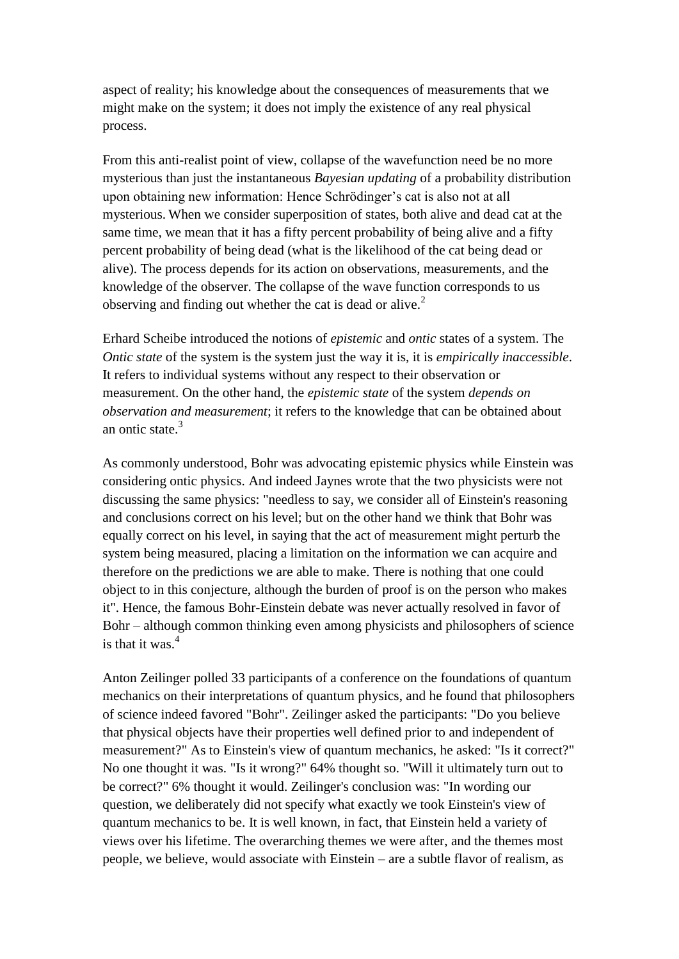aspect of reality; his knowledge about the consequences of measurements that we might make on the system; it does not imply the existence of any real physical process.

From this anti-realist point of view, collapse of the wavefunction need be no more mysterious than just the instantaneous *Bayesian updating* of a probability distribution upon obtaining new information: Hence Schrödinger's cat is also not at all mysterious. When we consider superposition of states, both alive and dead cat at the same time, we mean that it has a fifty percent probability of being alive and a fifty percent probability of being dead (what is the likelihood of the cat being dead or alive). The process depends for its action on observations, measurements, and the knowledge of the observer. The collapse of the wave function corresponds to us observing and finding out whether the cat is dead or alive.<sup>2</sup>

Erhard Scheibe introduced the notions of *epistemic* and *ontic* states of a system. The *Ontic state* of the system is the system just the way it is, it is *empirically inaccessible*. It refers to individual systems without any respect to their observation or measurement. On the other hand, the *epistemic state* of the system *depends on observation and measurement*; it refers to the knowledge that can be obtained about an ontic state. 3

As commonly understood, Bohr was advocating epistemic physics while Einstein was considering ontic physics. And indeed Jaynes wrote that the two physicists were not discussing the same physics: "needless to say, we consider all of Einstein's reasoning and conclusions correct on his level; but on the other hand we think that Bohr was equally correct on his level, in saying that the act of measurement might perturb the system being measured, placing a limitation on the information we can acquire and therefore on the predictions we are able to make. There is nothing that one could object to in this conjecture, although the burden of proof is on the person who makes it". Hence, the famous Bohr-Einstein debate was never actually resolved in favor of Bohr – although common thinking even among physicists and philosophers of science is that it was  $4$ 

Anton Zeilinger polled 33 participants of a conference on the foundations of quantum mechanics on their interpretations of quantum physics, and he found that philosophers of science indeed favored "Bohr". Zeilinger asked the participants: "Do you believe that physical objects have their properties well defined prior to and independent of measurement?" As to Einstein's view of quantum mechanics, he asked: "Is it correct?" No one thought it was. "Is it wrong?" 64% thought so. "Will it ultimately turn out to be correct?" 6% thought it would. Zeilinger's conclusion was: "In wording our question, we deliberately did not specify what exactly we took Einstein's view of quantum mechanics to be. It is well known, in fact, that Einstein held a variety of views over his lifetime. The overarching themes we were after, and the themes most people, we believe, would associate with Einstein – are a subtle flavor of realism, as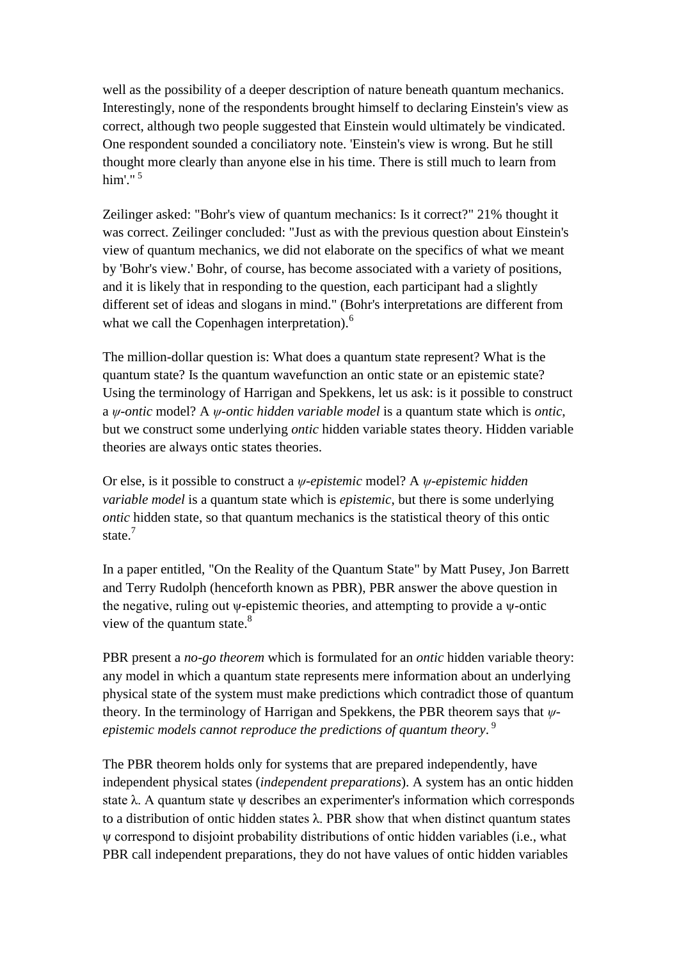well as the possibility of a deeper description of nature beneath quantum mechanics. Interestingly, none of the respondents brought himself to declaring Einstein's view as correct, although two people suggested that Einstein would ultimately be vindicated. One respondent sounded a conciliatory note. 'Einstein's view is wrong. But he still thought more clearly than anyone else in his time. There is still much to learn from him' " $5$ 

Zeilinger asked: "Bohr's view of quantum mechanics: Is it correct?" 21% thought it was correct. Zeilinger concluded: "Just as with the previous question about Einstein's view of quantum mechanics, we did not elaborate on the specifics of what we meant by 'Bohr's view.' Bohr, of course, has become associated with a variety of positions, and it is likely that in responding to the question, each participant had a slightly different set of ideas and slogans in mind." (Bohr's interpretations are different from what we call the Copenhagen interpretation).<sup>6</sup>

The million-dollar question is: What does a quantum state represent? What is the quantum state? Is the quantum wavefunction an ontic state or an epistemic state? Using the terminology of Harrigan and Spekkens, let us ask: is it possible to construct a *ψ-ontic* model? A *ψ-ontic hidden variable model* is a quantum state which is *ontic*, but we construct some underlying *ontic* hidden variable states theory. Hidden variable theories are always ontic states theories.

Or else, is it possible to construct a *ψ-epistemic* model? A *ψ-epistemic hidden variable model* is a quantum state which is *epistemic*, but there is some underlying *ontic* hidden state, so that quantum mechanics is the statistical theory of this ontic state<sup>7</sup>

In a paper entitled, "On the Reality of the Quantum State" by Matt Pusey, Jon Barrett and Terry Rudolph (henceforth known as PBR), PBR answer the above question in the negative, ruling out ψ-epistemic theories, and attempting to provide a ψ-ontic view of the quantum state. $8<sup>8</sup>$ 

PBR present a *no-go theorem* which is formulated for an *ontic* hidden variable theory: any model in which a quantum state represents mere information about an underlying physical state of the system must make predictions which contradict those of quantum theory. In the terminology of Harrigan and Spekkens, the PBR theorem says that *ψepistemic models cannot reproduce the predictions of quantum theory*. 9

The PBR theorem holds only for systems that are prepared independently, have independent physical states (*independent preparations*). A system has an ontic hidden state  $\lambda$ . A quantum state  $\psi$  describes an experimenter's information which corresponds to a distribution of ontic hidden states λ. PBR show that when distinct quantum states ψ correspond to disjoint probability distributions of ontic hidden variables (i.e., what PBR call independent preparations, they do not have values of ontic hidden variables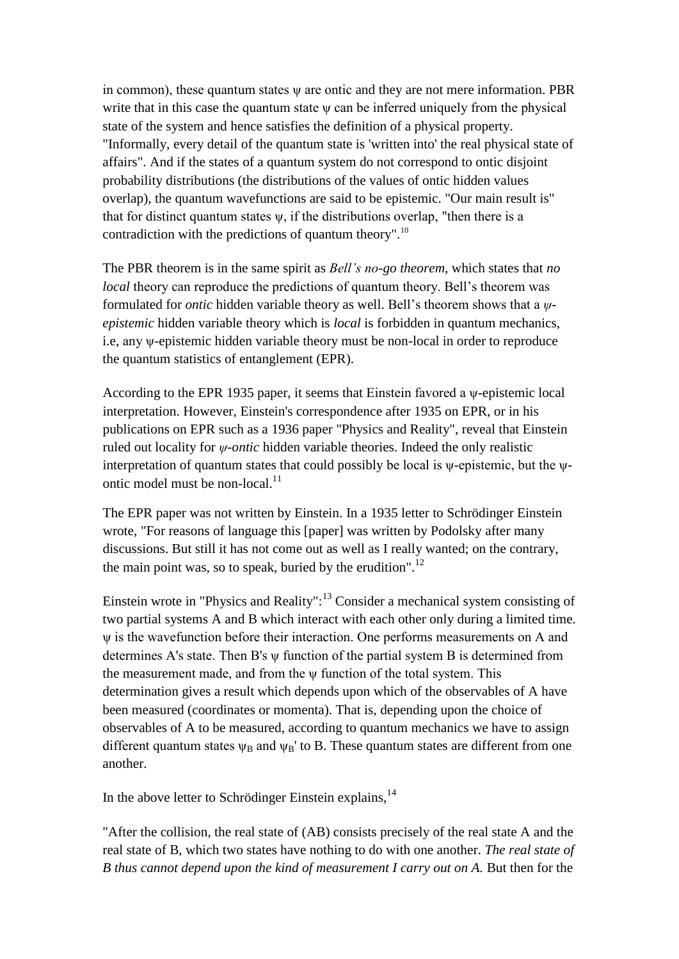in common), these quantum states ψ are ontic and they are not mere information. PBR write that in this case the quantum state  $\psi$  can be inferred uniquely from the physical state of the system and hence satisfies the definition of a physical property. "Informally, every detail of the quantum state is 'written into' the real physical state of affairs". And if the states of a quantum system do not correspond to ontic disjoint probability distributions (the distributions of the values of ontic hidden values overlap), the quantum wavefunctions are said to be epistemic. "Our main result is" that for distinct quantum states  $\psi$ , if the distributions overlap, "then there is a contradiction with the predictions of quantum theory".<sup>10</sup>

The PBR theorem is in the same spirit as *Bell's no-go theorem*, which states that *no local* theory can reproduce the predictions of quantum theory. Bell's theorem was formulated for *ontic* hidden variable theory as well. Bell's theorem shows that a *ψepistemic* hidden variable theory which is *local* is forbidden in quantum mechanics, i.e, any ψ-epistemic hidden variable theory must be non-local in order to reproduce the quantum statistics of entanglement (EPR).

According to the EPR 1935 paper, it seems that Einstein favored a  $\psi$ -epistemic local interpretation. However, Einstein's correspondence after 1935 on EPR, or in his publications on EPR such as a 1936 paper "Physics and Reality", reveal that Einstein ruled out locality for *ψ-ontic* hidden variable theories. Indeed the only realistic interpretation of quantum states that could possibly be local is ψ-epistemic, but the ψontic model must be non-local.<sup>11</sup>

The EPR paper was not written by Einstein. In a 1935 letter to Schrödinger Einstein wrote, "For reasons of language this [paper] was written by Podolsky after many discussions. But still it has not come out as well as I really wanted; on the contrary, the main point was, so to speak, buried by the erudition".<sup>12</sup>

Einstein wrote in "Physics and Reality": $13$  Consider a mechanical system consisting of two partial systems A and B which interact with each other only during a limited time. ψ is the wavefunction before their interaction. One performs measurements on A and determines A's state. Then B's ψ function of the partial system B is determined from the measurement made, and from the ψ function of the total system. This determination gives a result which depends upon which of the observables of A have been measured (coordinates or momenta). That is, depending upon the choice of observables of A to be measured, according to quantum mechanics we have to assign different quantum states  $\psi_B$  and  $\psi_B$ ' to B. These quantum states are different from one another.

In the above letter to Schrödinger Einstein explains, $14$ 

"After the collision, the real state of (AB) consists precisely of the real state A and the real state of B, which two states have nothing to do with one another. *The real state of B thus cannot depend upon the kind of measurement I carry out on A.* But then for the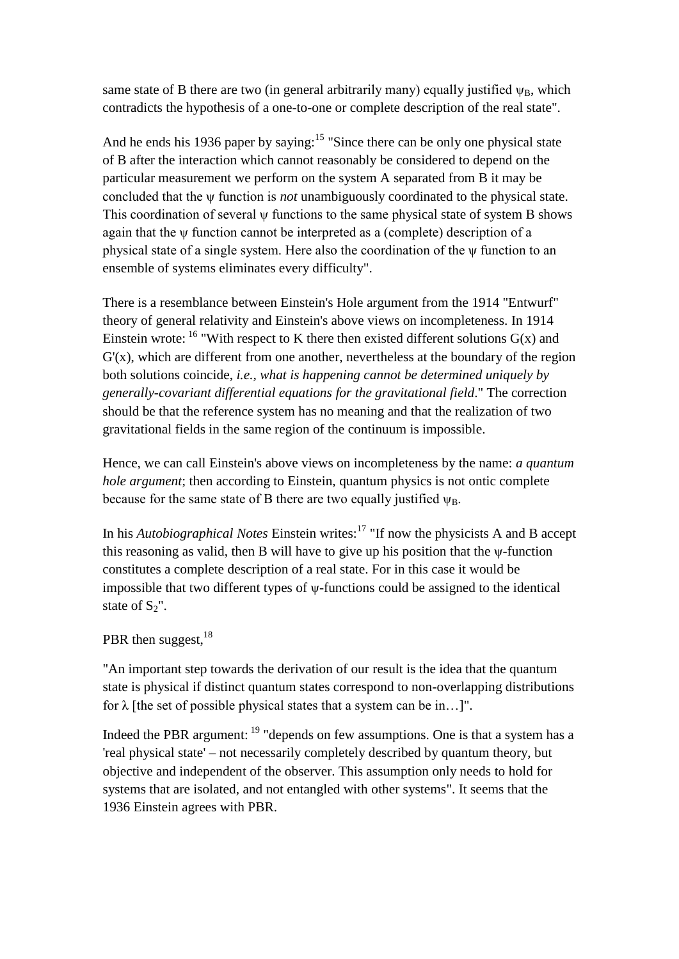same state of B there are two (in general arbitrarily many) equally justified  $\psi_B$ , which contradicts the hypothesis of a one-to-one or complete description of the real state".

And he ends his 1936 paper by saying:<sup>15</sup> "Since there can be only one physical state of B after the interaction which cannot reasonably be considered to depend on the particular measurement we perform on the system A separated from B it may be concluded that the ψ function is *not* unambiguously coordinated to the physical state. This coordination of several ψ functions to the same physical state of system B shows again that the ψ function cannot be interpreted as a (complete) description of a physical state of a single system. Here also the coordination of the ψ function to an ensemble of systems eliminates every difficulty".

There is a resemblance between Einstein's Hole argument from the 1914 "Entwurf" theory of general relativity and Einstein's above views on incompleteness. In 1914 Einstein wrote:  $16$  "With respect to K there then existed different solutions  $G(x)$  and  $G'(x)$ , which are different from one another, nevertheless at the boundary of the region both solutions coincide, *i.e., what is happening cannot be determined uniquely by generally-covariant differential equations for the gravitational field*." The correction should be that the reference system has no meaning and that the realization of two gravitational fields in the same region of the continuum is impossible.

Hence, we can call Einstein's above views on incompleteness by the name: *a quantum hole argument*; then according to Einstein, quantum physics is not ontic complete because for the same state of B there are two equally justified  $\psi_B$ .

In his *Autobiographical Notes* Einstein writes:<sup>17</sup> "If now the physicists A and B accept this reasoning as valid, then B will have to give up his position that the ψ-function constitutes a complete description of a real state. For in this case it would be impossible that two different types of ψ-functions could be assigned to the identical state of  $S_2$ ".

## PBR then suggest, <sup>18</sup>

"An important step towards the derivation of our result is the idea that the quantum state is physical if distinct quantum states correspond to non-overlapping distributions for  $\lambda$  [the set of possible physical states that a system can be in...]".

Indeed the PBR argument:  $19$  "depends on few assumptions. One is that a system has a 'real physical state' – not necessarily completely described by quantum theory, but objective and independent of the observer. This assumption only needs to hold for systems that are isolated, and not entangled with other systems". It seems that the 1936 Einstein agrees with PBR.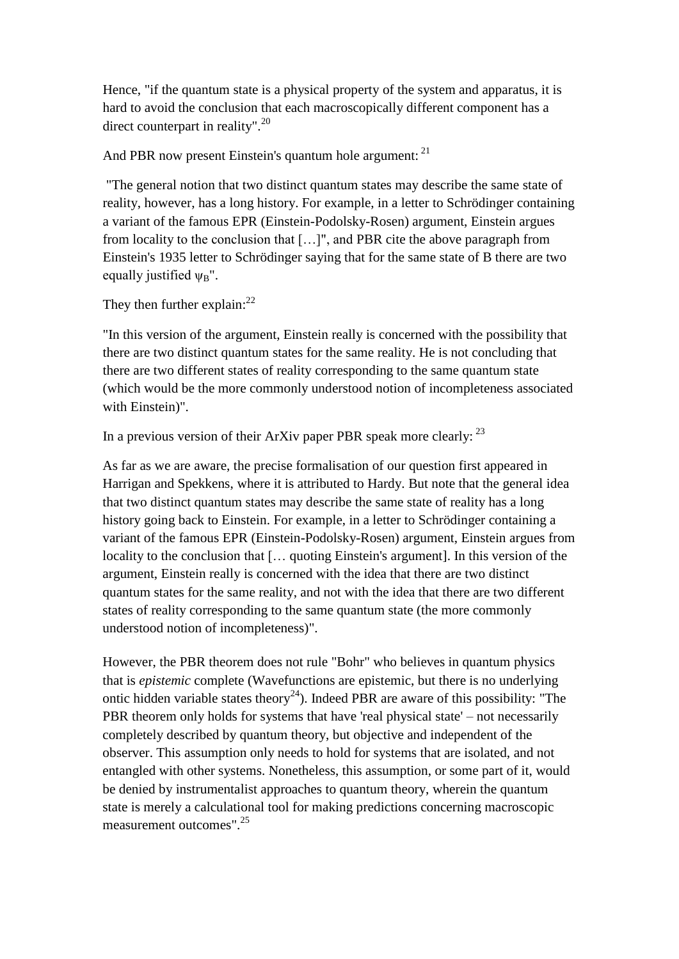Hence, "if the quantum state is a physical property of the system and apparatus, it is hard to avoid the conclusion that each macroscopically different component has a direct counterpart in reality".<sup>20</sup>

And PBR now present Einstein's quantum hole argument: <sup>21</sup>

"The general notion that two distinct quantum states may describe the same state of reality, however, has a long history. For example, in a letter to Schrödinger containing a variant of the famous EPR (Einstein-Podolsky-Rosen) argument, Einstein argues from locality to the conclusion that […]", and PBR cite the above paragraph from Einstein's 1935 letter to Schrödinger saying that for the same state of B there are two equally justified  $\Psi_B$ ".

## They then further explain: $^{22}$

"In this version of the argument, Einstein really is concerned with the possibility that there are two distinct quantum states for the same reality. He is not concluding that there are two different states of reality corresponding to the same quantum state (which would be the more commonly understood notion of incompleteness associated with Einstein)".

In a previous version of their ArXiv paper PBR speak more clearly:  $^{23}$ 

As far as we are aware, the precise formalisation of our question first appeared in Harrigan and Spekkens, where it is attributed to Hardy. But note that the general idea that two distinct quantum states may describe the same state of reality has a long history going back to Einstein. For example, in a letter to Schrödinger containing a variant of the famous EPR (Einstein-Podolsky-Rosen) argument, Einstein argues from locality to the conclusion that [… quoting Einstein's argument]. In this version of the argument, Einstein really is concerned with the idea that there are two distinct quantum states for the same reality, and not with the idea that there are two different states of reality corresponding to the same quantum state (the more commonly understood notion of incompleteness)".

However, the PBR theorem does not rule "Bohr" who believes in quantum physics that is *epistemic* complete (Wavefunctions are epistemic, but there is no underlying ontic hidden variable states theory<sup>24</sup>). Indeed PBR are aware of this possibility: "The PBR theorem only holds for systems that have 'real physical state' – not necessarily completely described by quantum theory, but objective and independent of the observer. This assumption only needs to hold for systems that are isolated, and not entangled with other systems. Nonetheless, this assumption, or some part of it, would be denied by instrumentalist approaches to quantum theory, wherein the quantum state is merely a calculational tool for making predictions concerning macroscopic measurement outcomes".<sup>25</sup>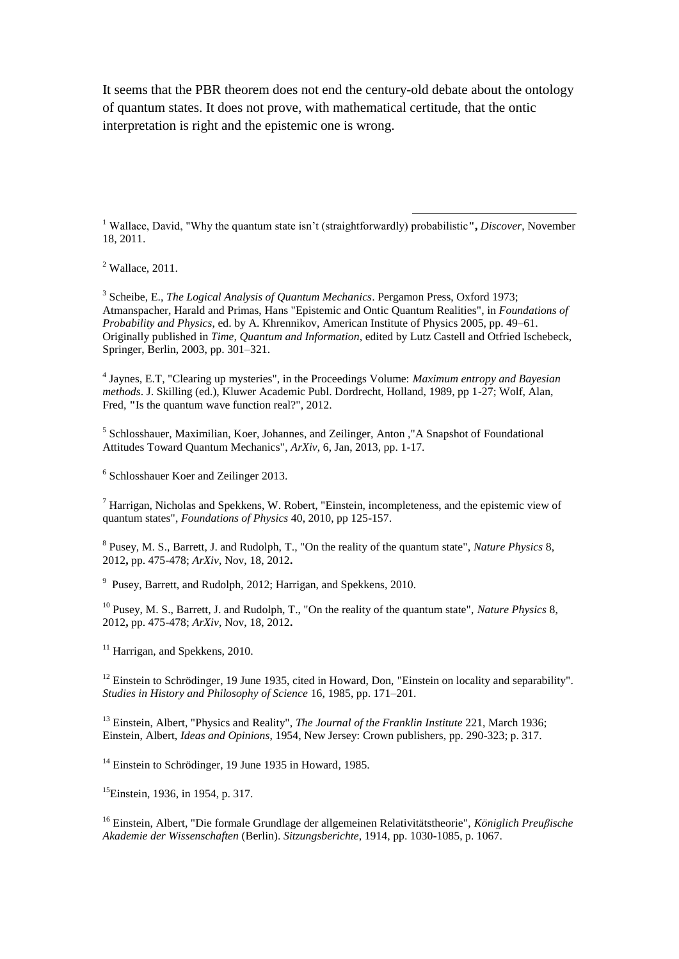It seems that the PBR theorem does not end the century-old debate about the ontology of quantum states. It does not prove, with mathematical certitude, that the ontic interpretation is right and the epistemic one is wrong.

<sup>1</sup> Wallace, David, "Why the quantum state isn't (straightforwardly) probabilistic**",** *Discover*, November 18, 2011.

1

<sup>2</sup> Wallace, 2011.

3 Scheibe, E., *The Logical Analysis of Quantum Mechanics*. Pergamon Press, Oxford 1973; Atmanspacher, Harald and Primas, Hans "Epistemic and Ontic Quantum Realities", in *Foundations of Probability and Physics*, ed. by A. Khrennikov, American Institute of Physics 2005, pp. 49–61. Originally published in *Time, Quantum and Information*, edited by Lutz Castell and Otfried Ischebeck, Springer, Berlin, 2003, pp. 301–321.

4 Jaynes, E.T, "Clearing up mysteries", in the Proceedings Volume: *Maximum entropy and Bayesian methods*. J. Skilling (ed.), Kluwer Academic Publ. Dordrecht, Holland, 1989, pp 1-27; Wolf, Alan, Fred, **"**Is the quantum wave function real?", 2012.

<sup>5</sup> Schlosshauer, Maximilian, Koer, Johannes, and Zeilinger, Anton ,"A Snapshot of Foundational Attitudes Toward Quantum Mechanics", *ArXiv*, 6, Jan, 2013, pp. 1-17.

6 Schlosshauer Koer and Zeilinger 2013.

<sup>7</sup> Harrigan, Nicholas and Spekkens, W. Robert, "Einstein, incompleteness, and the epistemic view of quantum states", *Foundations of Physics* 40, 2010, pp 125-157.

8 Pusey, M. S., Barrett, J. and Rudolph, T., "On the reality of the quantum state", *Nature Physics* 8, 2012**,** pp. 475-478; *ArXiv*, Nov, 18, 2012**.**

<sup>9</sup> Pusey, Barrett, and Rudolph, 2012; Harrigan, and Spekkens, 2010.

<sup>10</sup> Pusey, M. S., Barrett, J. and Rudolph, T., "On the reality of the quantum state", *Nature Physics* 8, 2012**,** pp. 475-478; *ArXiv*, Nov, 18, 2012**.**

 $11$  Harrigan, and Spekkens, 2010.

 $12$  Einstein to Schrödinger, 19 June 1935, cited in Howard, Don, "Einstein on locality and separability". *Studies in History and Philosophy of Science* 16, 1985, pp. 171–201.

<sup>13</sup> Einstein, Albert, "Physics and Reality", *The Journal of the Franklin Institute* 221, March 1936; Einstein, Albert, *Ideas and Opinions*, 1954, New Jersey: Crown publishers, pp. 290-323; p. 317.

<sup>14</sup> Einstein to Schrödinger, 19 June 1935 in Howard, 1985.

<sup>15</sup>Einstein, 1936, in 1954, p. 317.

<sup>16</sup> Einstein, Albert, "Die formale Grundlage der allgemeinen Relativitätstheorie", *Königlich Preuβische Akademie der Wissenschaften* (Berlin). *Sitzungsberichte*, 1914, pp. 1030-1085, p. 1067.